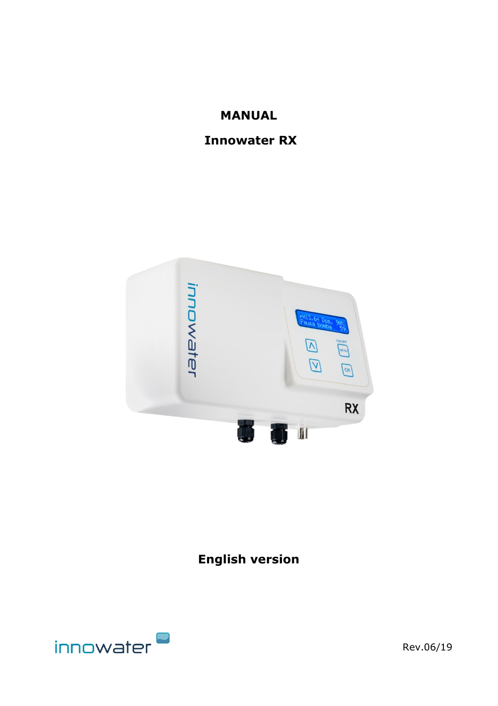## **MANUAL**

## **Innowater RX**



# **English version**



Rev.06/19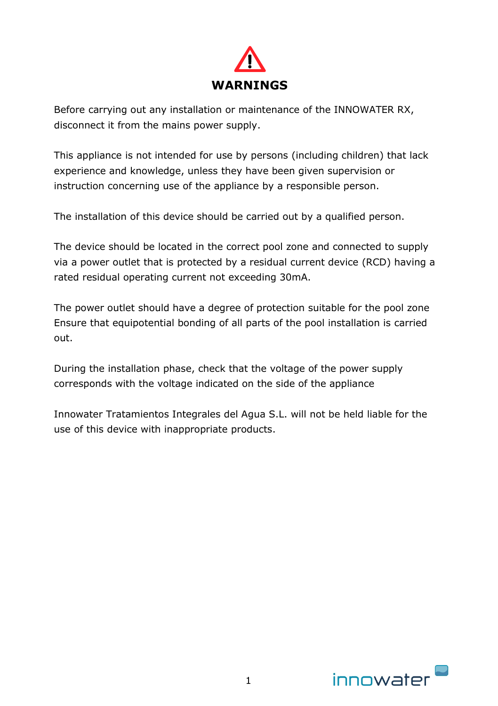

Before carrying out any installation or maintenance of the INNOWATER RX, disconnect it from the mains power supply.

This appliance is not intended for use by persons (including children) that lack experience and knowledge, unless they have been given supervision or instruction concerning use of the appliance by a responsible person.

The installation of this device should be carried out by a qualified person.

The device should be located in the correct pool zone and connected to supply via a power outlet that is protected by a residual current device (RCD) having a rated residual operating current not exceeding 30mA.

The power outlet should have a degree of protection suitable for the pool zone Ensure that equipotential bonding of all parts of the pool installation is carried out.

During the installation phase, check that the voltage of the power supply corresponds with the voltage indicated on the side of the appliance

Innowater Tratamientos Integrales del Agua S.L. will not be held liable for the use of this device with inappropriate products.

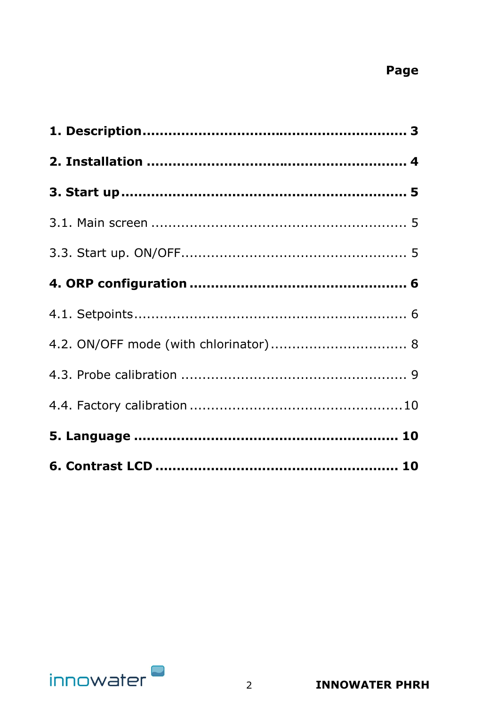# Page

| 4.2. ON/OFF mode (with chlorinator) 8 |  |
|---------------------------------------|--|
|                                       |  |
|                                       |  |
|                                       |  |
|                                       |  |

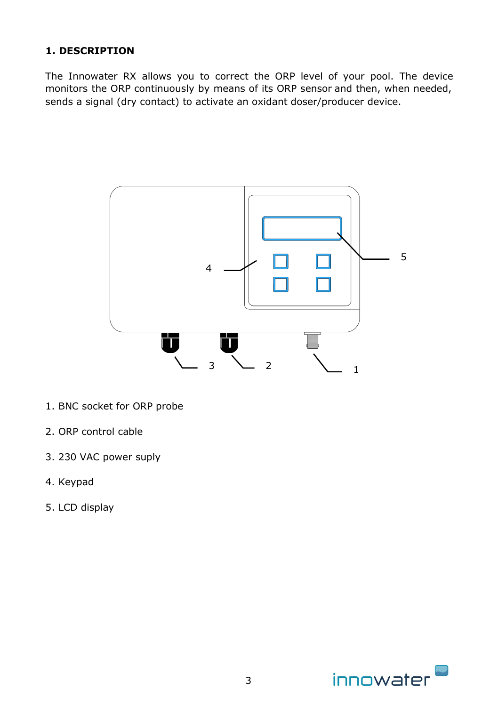## **1. DESCRIPTION**

The Innowater RX allows you to correct the ORP level of your pool. The device monitors the ORP continuously by means of its ORP sensor and then, when needed, sends a signal (dry contact) to activate an oxidant doser/producer device.



- 1. BNC socket for ORP probe
- 2. ORP control cable
- 3. 230 VAC power suply
- 4. Keypad
- 5. LCD display

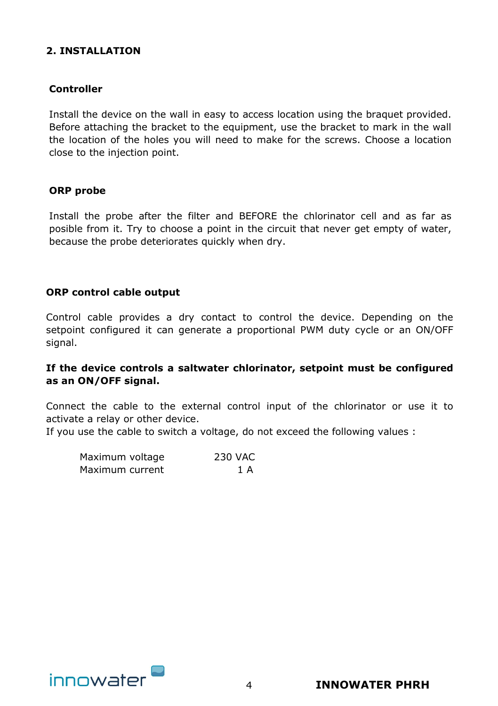### **2. INSTALLATION**

#### **Controller**

Install the device on the wall in easy to access location using the braquet provided. Before attaching the bracket to the equipment, use the bracket to mark in the wall the location of the holes you will need to make for the screws. Choose a location close to the injection point.

#### **ORP probe**

Install the probe after the filter and BEFORE the chlorinator cell and as far as posible from it. Try to choose a point in the circuit that never get empty of water, because the probe deteriorates quickly when dry.

#### **ORP control cable output**

Control cable provides a dry contact to control the device. Depending on the setpoint configured it can generate a proportional PWM duty cycle or an ON/OFF signal.

#### **If the device controls a saltwater chlorinator, setpoint must be configured as an ON/OFF signal.**

Connect the cable to the external control input of the chlorinator or use it to activate a relay or other device.

If you use the cable to switch a voltage, do not exceed the following values :

| Maximum voltage | 230 VAC |
|-----------------|---------|
| Maximum current | 1 A     |

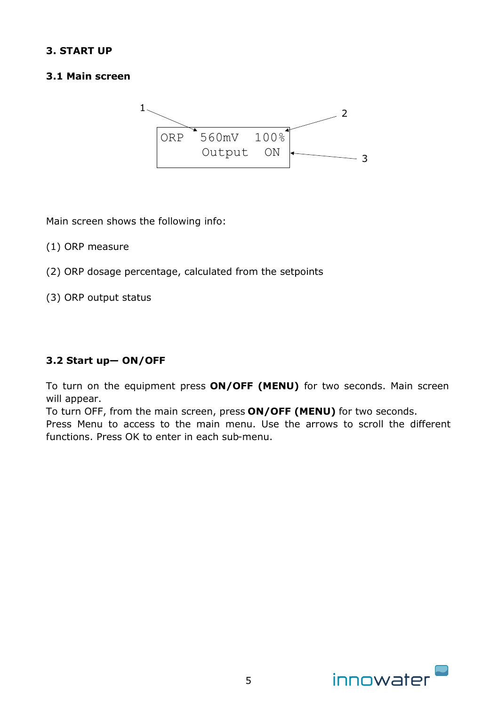## **3. START UP**

## **3.1 Main screen**



Main screen shows the following info:

(1) ORP measure

- (2) ORP dosage percentage, calculated from the setpoints
- (3) ORP output status

## **3.2 Start up— ON/OFF**

To turn on the equipment press **ON/OFF (MENU)** for two seconds. Main screen will appear.

To turn OFF, from the main screen, press **ON/OFF (MENU)** for two seconds.

Press Menu to access to the main menu. Use the arrows to scroll the different functions. Press OK to enter in each sub-menu.

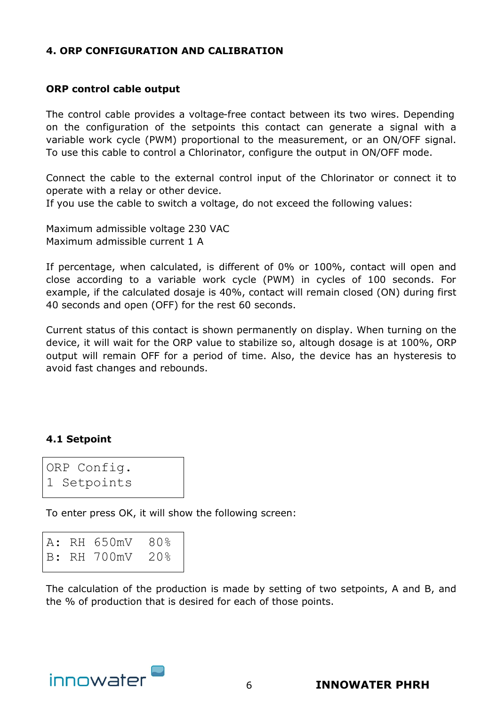#### **4. ORP CONFIGURATION AND CALIBRATION**

#### **ORP control cable output**

The control cable provides a voltage-free contact between its two wires. Depending on the configuration of the setpoints this contact can generate a signal with a variable work cycle (PWM) proportional to the measurement, or an ON/OFF signal. To use this cable to control a Chlorinator, configure the output in ON/OFF mode.

Connect the cable to the external control input of the Chlorinator or connect it to operate with a relay or other device.

If you use the cable to switch a voltage, do not exceed the following values:

Maximum admissible voltage 230 VAC Maximum admissible current 1 A

If percentage, when calculated, is different of 0% or 100%, contact will open and close according to a variable work cycle (PWM) in cycles of 100 seconds. For example, if the calculated dosaje is 40%, contact will remain closed (ON) during first 40 seconds and open (OFF) for the rest 60 seconds.

Current status of this contact is shown permanently on display. When turning on the device, it will wait for the ORP value to stabilize so, altough dosage is at 100%, ORP output will remain OFF for a period of time. Also, the device has an hysteresis to avoid fast changes and rebounds.

#### **4.1 Setpoint**

ORP Config. 1 Setpoints

To enter press OK, it will show the following screen:

|  | A: RH 650mV 80% |  |
|--|-----------------|--|
|  | B: RH 700mV 20% |  |

The calculation of the production is made by setting of two setpoints, A and B, and the % of production that is desired for each of those points.

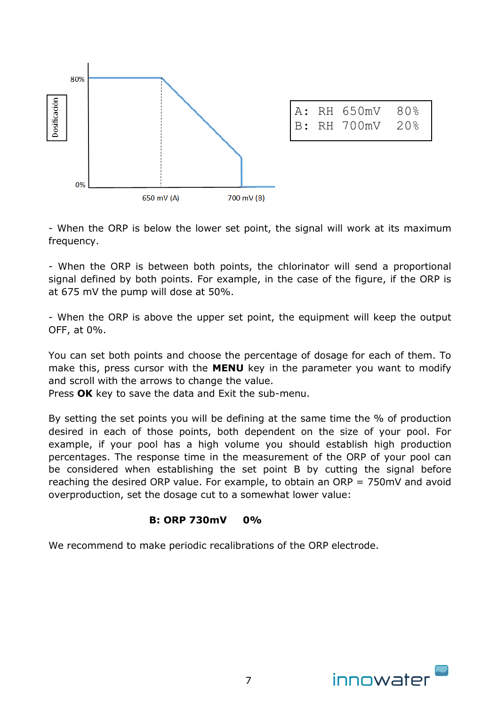

|  | A: RH 650mV 80%<br>B: RH 700mV 20% |  |
|--|------------------------------------|--|

- When the ORP is below the lower set point, the signal will work at its maximum frequency.

- When the ORP is between both points, the chlorinator will send a proportional signal defined by both points. For example, in the case of the figure, if the ORP is at 675 mV the pump will dose at 50%.

- When the ORP is above the upper set point, the equipment will keep the output OFF, at 0%.

You can set both points and choose the percentage of dosage for each of them. To make this, press cursor with the **MENU** key in the parameter you want to modify and scroll with the arrows to change the value.

Press **OK** key to save the data and Exit the sub-menu.

By setting the set points you will be defining at the same time the % of production desired in each of those points, both dependent on the size of your pool. For example, if your pool has a high volume you should establish high production percentages. The response time in the measurement of the ORP of your pool can be considered when establishing the set point B by cutting the signal before reaching the desired ORP value. For example, to obtain an ORP = 750mV and avoid overproduction, set the dosage cut to a somewhat lower value:

#### **B: ORP 730mV 0%**

We recommend to make periodic recalibrations of the ORP electrode.

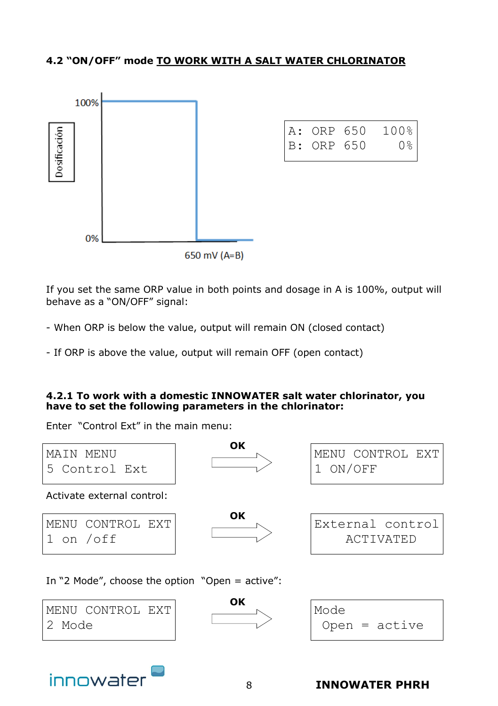## **4.2 "ON/OFF" mode TO WORK WITH A SALT WATER CHLORINATOR**



If you set the same ORP value in both points and dosage in A is 100%, output will behave as a "ON/OFF" signal:

- When ORP is below the value, output will remain ON (closed contact)

- If ORP is above the value, output will remain OFF (open contact)

#### **4.2.1 To work with a domestic INNOWATER salt water chlorinator, you have to set the following parameters in the chlorinator:**

Enter "Control Ext" in the main menu:

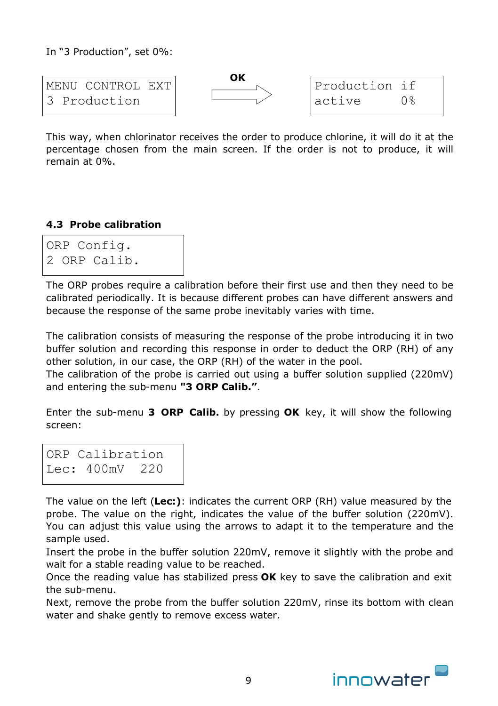In "3 Production", set 0%:



This way, when chlorinator receives the order to produce chlorine, it will do it at the percentage chosen from the main screen. If the order is not to produce, it will remain at 0%.

## **4.3 Probe calibration**

ORP Config. 2 ORP Calib.

The ORP probes require a calibration before their first use and then they need to be calibrated periodically. It is because different probes can have different answers and because the response of the same probe inevitably varies with time.

The calibration consists of measuring the response of the probe introducing it in two buffer solution and recording this response in order to deduct the ORP (RH) of any other solution, in our case, the ORP (RH) of the water in the pool.

The calibration of the probe is carried out using a buffer solution supplied (220mV) and entering the sub-menu **"3 ORP Calib."**.

Enter the sub-menu **3 ORP Calib.** by pressing **OK** key, it will show the following screen:

ORP Calibration Lec: 400mV 220

The value on the left (**Lec:)**: indicates the current ORP (RH) value measured by the probe. The value on the right, indicates the value of the buffer solution (220mV). You can adjust this value using the arrows to adapt it to the temperature and the sample used.

Insert the probe in the buffer solution 220mV, remove it slightly with the probe and wait for a stable reading value to be reached.

Once the reading value has stabilized press **OK** key to save the calibration and exit the sub-menu.

Next, remove the probe from the buffer solution 220mV, rinse its bottom with clean water and shake gently to remove excess water.